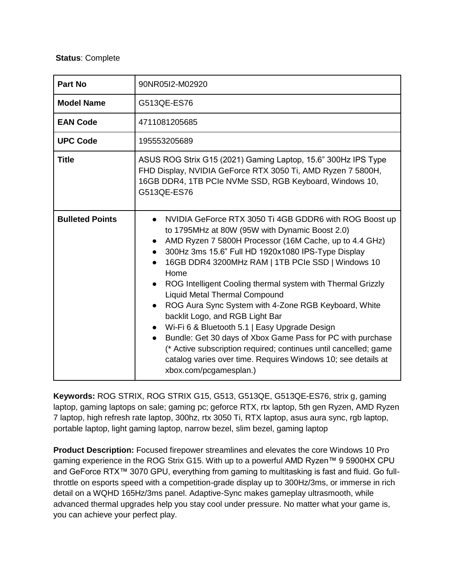## **Status**: Complete

| Part No                | 90NR05I2-M02920                                                                                                                                                                                                                                                                                                                                                                                                                                                                                                                                                                                                                                                                                                                                                         |  |
|------------------------|-------------------------------------------------------------------------------------------------------------------------------------------------------------------------------------------------------------------------------------------------------------------------------------------------------------------------------------------------------------------------------------------------------------------------------------------------------------------------------------------------------------------------------------------------------------------------------------------------------------------------------------------------------------------------------------------------------------------------------------------------------------------------|--|
| <b>Model Name</b>      | G513QE-ES76                                                                                                                                                                                                                                                                                                                                                                                                                                                                                                                                                                                                                                                                                                                                                             |  |
| <b>EAN Code</b>        | 4711081205685                                                                                                                                                                                                                                                                                                                                                                                                                                                                                                                                                                                                                                                                                                                                                           |  |
| <b>UPC Code</b>        | 195553205689                                                                                                                                                                                                                                                                                                                                                                                                                                                                                                                                                                                                                                                                                                                                                            |  |
| <b>Title</b>           | ASUS ROG Strix G15 (2021) Gaming Laptop, 15.6" 300Hz IPS Type<br>FHD Display, NVIDIA GeForce RTX 3050 Ti, AMD Ryzen 7 5800H,<br>16GB DDR4, 1TB PCIe NVMe SSD, RGB Keyboard, Windows 10,<br>G513QE-ES76                                                                                                                                                                                                                                                                                                                                                                                                                                                                                                                                                                  |  |
| <b>Bulleted Points</b> | NVIDIA GeForce RTX 3050 Ti 4GB GDDR6 with ROG Boost up<br>to 1795MHz at 80W (95W with Dynamic Boost 2.0)<br>AMD Ryzen 7 5800H Processor (16M Cache, up to 4.4 GHz)<br>300Hz 3ms 15.6" Full HD 1920x1080 IPS-Type Display<br>16GB DDR4 3200MHz RAM   1TB PCIe SSD   Windows 10<br>Home<br>ROG Intelligent Cooling thermal system with Thermal Grizzly<br><b>Liquid Metal Thermal Compound</b><br>ROG Aura Sync System with 4-Zone RGB Keyboard, White<br>backlit Logo, and RGB Light Bar<br>• Wi-Fi 6 & Bluetooth 5.1   Easy Upgrade Design<br>Bundle: Get 30 days of Xbox Game Pass for PC with purchase<br>(* Active subscription required; continues until cancelled; game<br>catalog varies over time. Requires Windows 10; see details at<br>xbox.com/pcgamesplan.) |  |

**Keywords: ROG STRIX, ROG STRIX G15, G513, G513QE, G513QE-ES76, strix g, gaming** laptop, gaming laptops on sale; gaming pc; geforce RTX, rtx laptop, 5th gen Ryzen, AMD Ryzen 7 laptop, high refresh rate laptop, 300hz, rtx 3050 Ti, RTX laptop, asus aura sync, rgb laptop, portable laptop, light gaming laptop, narrow bezel, slim bezel, gaming laptop

**Product Description:** Focused firepower streamlines and elevates the core Windows 10 Pro gaming experience in the ROG Strix G15. With up to a powerful AMD Ryzen™ 9 5900HX CPU and GeForce RTX™ 3070 GPU, everything from gaming to multitasking is fast and fluid. Go fullthrottle on esports speed with a competition-grade display up to 300Hz/3ms, or immerse in rich detail on a WQHD 165Hz/3ms panel. Adaptive-Sync makes gameplay ultrasmooth, while advanced thermal upgrades help you stay cool under pressure. No matter what your game is, you can achieve your perfect play.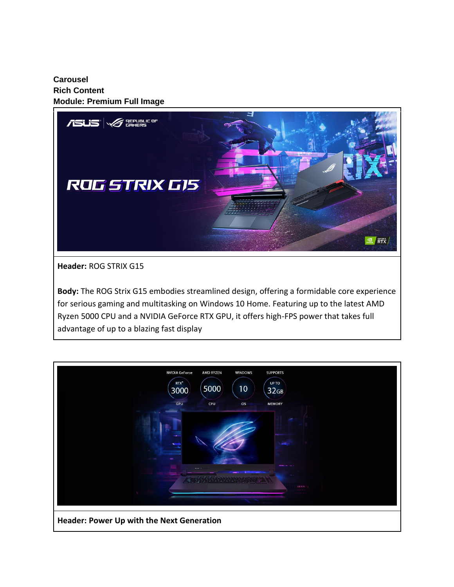**Carousel Rich Content Module: Premium Full Image**



**Header:** ROG STRIX G15

**Body:** The ROG Strix G15 embodies streamlined design, offering a formidable core experience for serious gaming and multitasking on Windows 10 Home. Featuring up to the latest AMD Ryzen 5000 CPU and a NVIDIA GeForce RTX GPU, it offers high-FPS power that takes full advantage of up to a blazing fast display

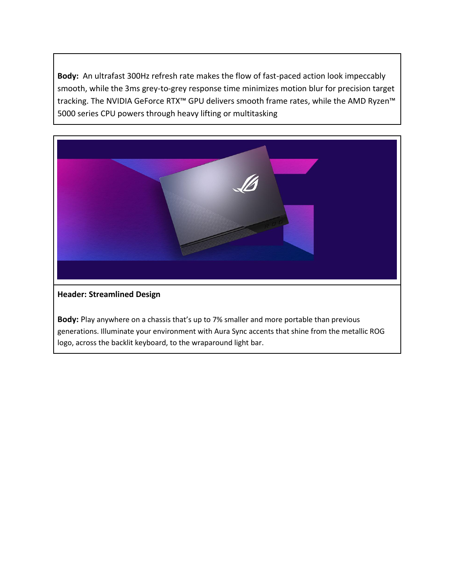**Body:** An ultrafast 300Hz refresh rate makes the flow of fast-paced action look impeccably smooth, while the 3ms grey-to-grey response time minimizes motion blur for precision target tracking. The NVIDIA GeForce RTX™ GPU delivers smooth frame rates, while the AMD Ryzen™ 5000 series CPU powers through heavy lifting or multitasking



## **Header: Streamlined Design**

**Body:** Play anywhere on a chassis that's up to 7% smaller and more portable than previous generations. Illuminate your environment with Aura Sync accents that shine from the metallic ROG logo, across the backlit keyboard, to the wraparound light bar.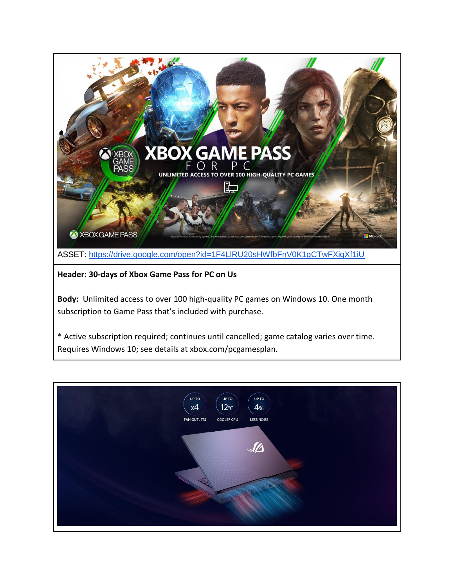

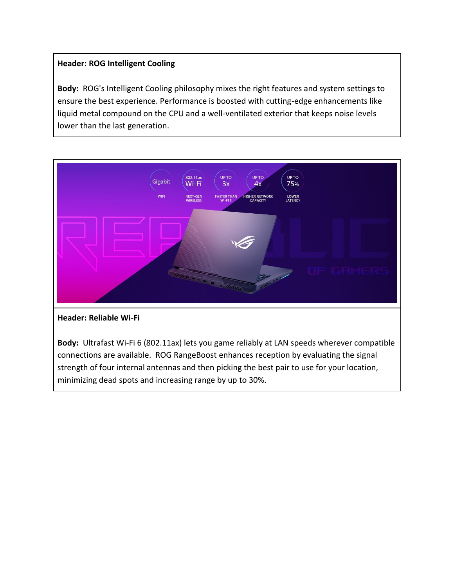## **Header: ROG Intelligent Cooling**

**Body:** ROG's Intelligent Cooling philosophy mixes the right features and system settings to ensure the best experience. Performance is boosted with cutting-edge enhancements like liquid metal compound on the CPU and a well-ventilated exterior that keeps noise levels lower than the last generation.



**Header: Reliable Wi-Fi**

**Body:** Ultrafast Wi-Fi 6 (802.11ax) lets you game reliably at LAN speeds wherever compatible connections are available. ROG RangeBoost enhances reception by evaluating the signal strength of four internal antennas and then picking the best pair to use for your location, minimizing dead spots and increasing range by up to 30%.